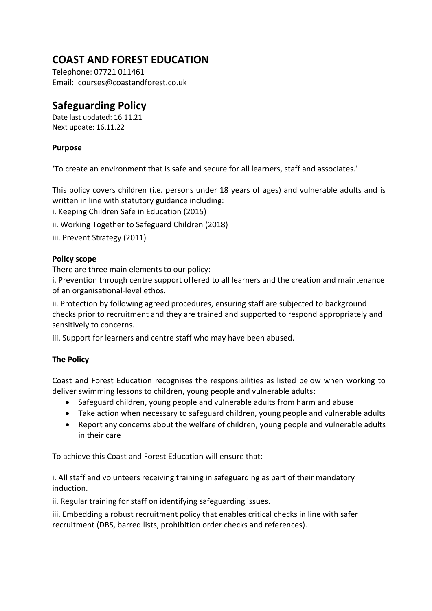## **COAST AND FOREST EDUCATION**

Telephone: 07721 011461 Email: courses@coastandforest.co.uk

# **Safeguarding Policy**

Date last updated: 16.11.21 Next update: 16.11.22

### **Purpose**

'To create an environment that is safe and secure for all learners, staff and associates.'

This policy covers children (i.e. persons under 18 years of ages) and vulnerable adults and is written in line with statutory guidance including:

i. Keeping Children Safe in Education (2015)

ii. Working Together to Safeguard Children (2018)

iii. Prevent Strategy (2011)

### **Policy scope**

There are three main elements to our policy:

i. Prevention through centre support offered to all learners and the creation and maintenance of an organisational-level ethos.

ii. Protection by following agreed procedures, ensuring staff are subjected to background checks prior to recruitment and they are trained and supported to respond appropriately and sensitively to concerns.

iii. Support for learners and centre staff who may have been abused.

#### **The Policy**

Coast and Forest Education recognises the responsibilities as listed below when working to deliver swimming lessons to children, young people and vulnerable adults:

- Safeguard children, young people and vulnerable adults from harm and abuse
- Take action when necessary to safeguard children, young people and vulnerable adults
- Report any concerns about the welfare of children, young people and vulnerable adults in their care

To achieve this Coast and Forest Education will ensure that:

i. All staff and volunteers receiving training in safeguarding as part of their mandatory induction.

ii. Regular training for staff on identifying safeguarding issues.

iii. Embedding a robust recruitment policy that enables critical checks in line with safer recruitment (DBS, barred lists, prohibition order checks and references).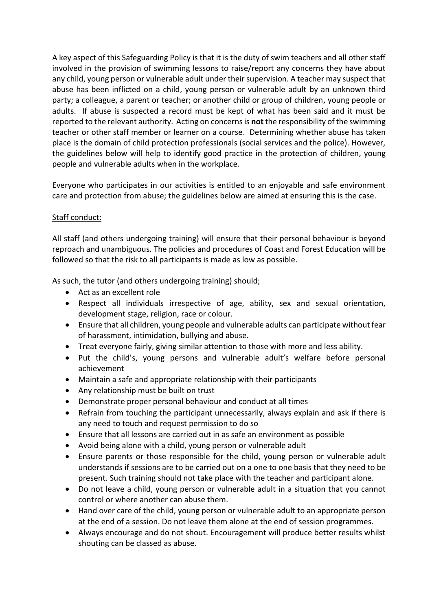A key aspect of this Safeguarding Policy is that it is the duty of swim teachers and all other staff involved in the provision of swimming lessons to raise/report any concerns they have about any child, young person or vulnerable adult under their supervision. A teacher may suspect that abuse has been inflicted on a child, young person or vulnerable adult by an unknown third party; a colleague, a parent or teacher; or another child or group of children, young people or adults. If abuse is suspected a record must be kept of what has been said and it must be reported to the relevant authority. Acting on concerns is **not** the responsibility of the swimming teacher or other staff member or learner on a course. Determining whether abuse has taken place is the domain of child protection professionals (social services and the police). However, the guidelines below will help to identify good practice in the protection of children, young people and vulnerable adults when in the workplace.

Everyone who participates in our activities is entitled to an enjoyable and safe environment care and protection from abuse; the guidelines below are aimed at ensuring this is the case.

#### Staff conduct:

All staff (and others undergoing training) will ensure that their personal behaviour is beyond reproach and unambiguous. The policies and procedures of Coast and Forest Education will be followed so that the risk to all participants is made as low as possible.

As such, the tutor (and others undergoing training) should;

- Act as an excellent role
- Respect all individuals irrespective of age, ability, sex and sexual orientation, development stage, religion, race or colour.
- Ensure that all children, young people and vulnerable adults can participate without fear of harassment, intimidation, bullying and abuse.
- Treat everyone fairly, giving similar attention to those with more and less ability.
- Put the child's, young persons and vulnerable adult's welfare before personal achievement
- Maintain a safe and appropriate relationship with their participants
- Any relationship must be built on trust
- Demonstrate proper personal behaviour and conduct at all times
- Refrain from touching the participant unnecessarily, always explain and ask if there is any need to touch and request permission to do so
- Ensure that all lessons are carried out in as safe an environment as possible
- Avoid being alone with a child, young person or vulnerable adult
- Ensure parents or those responsible for the child, young person or vulnerable adult understands if sessions are to be carried out on a one to one basis that they need to be present. Such training should not take place with the teacher and participant alone.
- Do not leave a child, young person or vulnerable adult in a situation that you cannot control or where another can abuse them.
- Hand over care of the child, young person or vulnerable adult to an appropriate person at the end of a session. Do not leave them alone at the end of session programmes.
- Always encourage and do not shout. Encouragement will produce better results whilst shouting can be classed as abuse.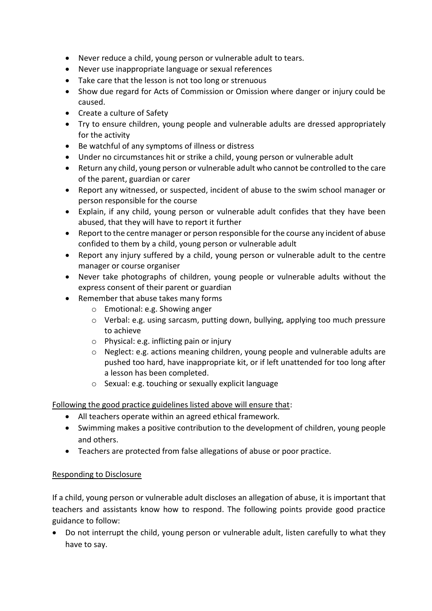- Never reduce a child, young person or vulnerable adult to tears.
- Never use inappropriate language or sexual references
- Take care that the lesson is not too long or strenuous
- Show due regard for Acts of Commission or Omission where danger or injury could be caused.
- Create a culture of Safety
- Try to ensure children, young people and vulnerable adults are dressed appropriately for the activity
- Be watchful of any symptoms of illness or distress
- Under no circumstances hit or strike a child, young person or vulnerable adult
- Return any child, young person or vulnerable adult who cannot be controlled to the care of the parent, guardian or carer
- Report any witnessed, or suspected, incident of abuse to the swim school manager or person responsible for the course
- Explain, if any child, young person or vulnerable adult confides that they have been abused, that they will have to report it further
- Report to the centre manager or person responsible for the course any incident of abuse confided to them by a child, young person or vulnerable adult
- Report any injury suffered by a child, young person or vulnerable adult to the centre manager or course organiser
- Never take photographs of children, young people or vulnerable adults without the express consent of their parent or guardian
- Remember that abuse takes many forms
	- o Emotional: e.g. Showing anger
	- o Verbal: e.g. using sarcasm, putting down, bullying, applying too much pressure to achieve
	- o Physical: e.g. inflicting pain or injury
	- $\circ$  Neglect: e.g. actions meaning children, young people and vulnerable adults are pushed too hard, have inappropriate kit, or if left unattended for too long after a lesson has been completed.
	- o Sexual: e.g. touching or sexually explicit language

Following the good practice guidelines listed above will ensure that:

- All teachers operate within an agreed ethical framework.
- Swimming makes a positive contribution to the development of children, young people and others.
- Teachers are protected from false allegations of abuse or poor practice.

#### Responding to Disclosure

If a child, young person or vulnerable adult discloses an allegation of abuse, it is important that teachers and assistants know how to respond. The following points provide good practice guidance to follow:

• Do not interrupt the child, young person or vulnerable adult, listen carefully to what they have to say.